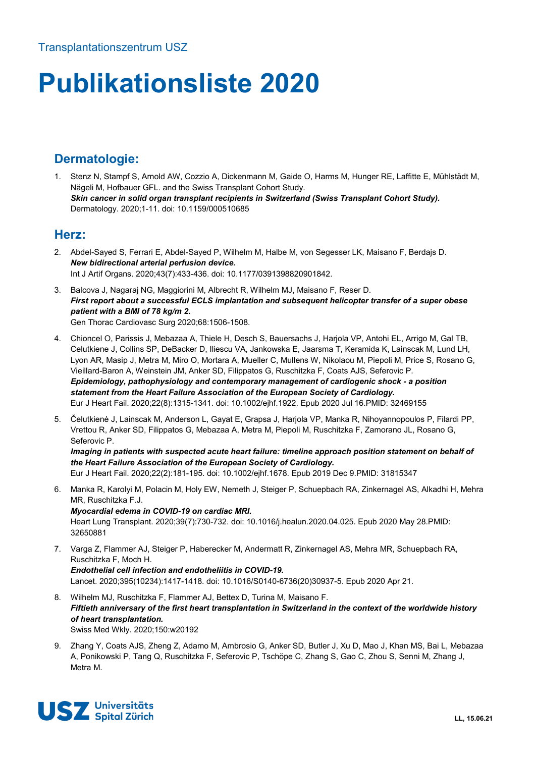# **Publikationsliste 2020**

# **Dermatologie:**

1. Stenz N, Stampf S, Arnold AW, Cozzio A, Dickenmann M, Gaide O, Harms M, Hunger RE, Laffitte E, Mühlstädt M, Nägeli M, Hofbauer GFL. and the Swiss Transplant Cohort Study. *Skin cancer in solid organ transplant recipients in Switzerland (Swiss Transplant Cohort Study).* Dermatology. 2020;1-11. doi: 10.1159/000510685

## **Herz:**

- 2. Abdel-Sayed S, Ferrari E, Abdel-Sayed P, Wilhelm M, Halbe M, von Segesser LK, Maisano F, Berdajs D. *New bidirectional arterial perfusion device.*  Int J Artif Organs. 2020;43(7):433-436. doi: 10.1177/0391398820901842.
- 3. Balcova J, Nagaraj NG, Maggiorini M, Albrecht R, Wilhelm MJ, Maisano F, Reser D. *First report about a successful ECLS implantation and subsequent helicopter transfer of a super obese patient with a BMI of 78 kg/m 2.*  Gen Thorac Cardiovasc Surg 2020;68:1506-1508.
- 4. Chioncel O, Parissis J, Mebazaa A, Thiele H, Desch S, Bauersachs J, Harjola VP, Antohi EL, Arrigo M, Gal TB, Celutkiene J, Collins SP, DeBacker D, Iliescu VA, Jankowska E, Jaarsma T, Keramida K, Lainscak M, Lund LH, Lyon AR, Masip J, Metra M, Miro O, Mortara A, Mueller C, Mullens W, Nikolaou M, Piepoli M, Price S, Rosano G, Vieillard-Baron A, Weinstein JM, Anker SD, Filippatos G, Ruschitzka F, Coats AJS, Seferovic P. *Epidemiology, pathophysiology and contemporary management of cardiogenic shock - a position statement from the Heart Failure Association of the European Society of Cardiology.*  Eur J Heart Fail. 2020;22(8):1315-1341. doi: 10.1002/ejhf.1922. Epub 2020 Jul 16.PMID: 32469155
- 5. Čelutkienė J, Lainscak M, Anderson L, Gayat E, Grapsa J, Harjola VP, Manka R, Nihoyannopoulos P, Filardi PP, Vrettou R, Anker SD, Filippatos G, Mebazaa A, Metra M, Piepoli M, Ruschitzka F, Zamorano JL, Rosano G, Seferovic P.

*Imaging in patients with suspected acute heart failure: timeline approach position statement on behalf of the Heart Failure Association of the European Society of Cardiology.* Eur J Heart Fail. 2020;22(2):181-195. doi: 10.1002/ejhf.1678. Epub 2019 Dec 9.PMID: 31815347

- 6. Manka R, Karolyi M, Polacin M, Holy EW, Nemeth J, Steiger P, Schuepbach RA, Zinkernagel AS, Alkadhi H, Mehra MR, Ruschitzka F.J. *Myocardial edema in COVID-19 on cardiac MRI.*  Heart Lung Transplant. 2020;39(7):730-732. doi: 10.1016/j.healun.2020.04.025. Epub 2020 May 28.PMID:
- 7. Varga Z, Flammer AJ, Steiger P, Haberecker M, Andermatt R, Zinkernagel AS, Mehra MR, Schuepbach RA, Ruschitzka F, Moch H. *Endothelial cell infection and endotheliitis in COVID-19.*  Lancet. 2020;395(10234):1417-1418. doi: 10.1016/S0140-6736(20)30937-5. Epub 2020 Apr 21.
- 8. Wilhelm MJ, Ruschitzka F, Flammer AJ, Bettex D, Turina M, Maisano F. *Fiftieth anniversary of the first heart transplantation in Switzerland in the context of the worldwide history of heart transplantation.*  Swiss Med Wkly. 2020;150:w20192
- 9. Zhang Y, Coats AJS, Zheng Z, Adamo M, Ambrosio G, Anker SD, Butler J, Xu D, Mao J, Khan MS, Bai L, Mebazaa A, Ponikowski P, Tang Q, Ruschitzka F, Seferovic P, Tschöpe C, Zhang S, Gao C, Zhou S, Senni M, Zhang J, Metra M.



32650881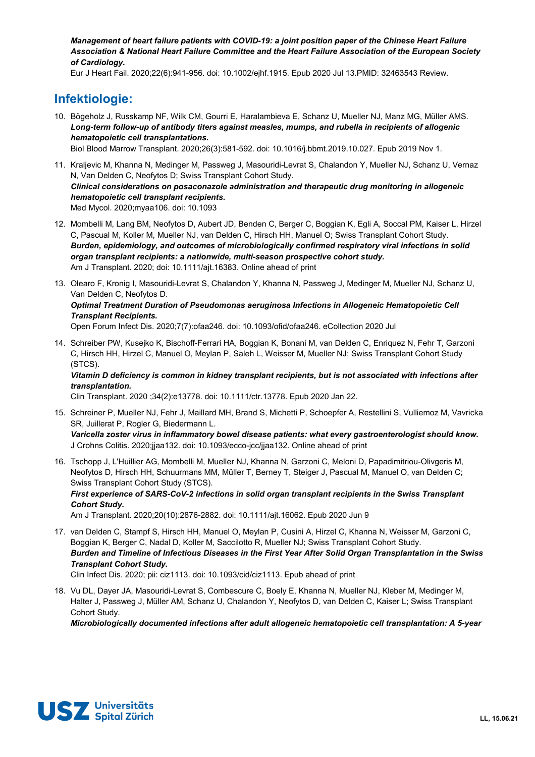*Management of heart failure patients with COVID-19: a joint position paper of the Chinese Heart Failure Association & National Heart Failure Committee and the Heart Failure Association of the European Society of Cardiology.* 

Eur J Heart Fail. 2020;22(6):941-956. doi: 10.1002/ejhf.1915. Epub 2020 Jul 13.PMID: 32463543 Review.

# **Infektiologie:**

10. Bögeholz J, Russkamp NF, Wilk CM, Gourri E, Haralambieva E, Schanz U, Mueller NJ, Manz MG, Müller AMS. *Long-term follow-up of antibody titers against measles, mumps, and rubella in recipients of allogenic hematopoietic cell transplantations.* 

Biol Blood Marrow Transplant. 2020;26(3):581-592. doi: 10.1016/j.bbmt.2019.10.027. Epub 2019 Nov 1.

- 11. Kraljevic M, Khanna N, Medinger M, Passweg J, Masouridi-Levrat S, Chalandon Y, Mueller NJ, Schanz U, Vernaz N, Van Delden C, Neofytos D; Swiss Transplant Cohort Study. *Clinical considerations on posaconazole administration and therapeutic drug monitoring in allogeneic hematopoietic cell transplant recipients.*  Med Mycol. 2020;myaa106. doi: 10.1093
- 12. Mombelli M, Lang BM, Neofytos D, Aubert JD, Benden C, Berger C, Boggian K, Egli A, Soccal PM, Kaiser L, Hirzel C, Pascual M, Koller M, Mueller NJ, van Delden C, Hirsch HH, Manuel O; Swiss Transplant Cohort Study. *Burden, epidemiology, and outcomes of microbiologically confirmed respiratory viral infections in solid organ transplant recipients: a nationwide, multi-season prospective cohort study.*  Am J Transplant. 2020; doi: 10.1111/ajt.16383. Online ahead of print
- 13. Olearo F, Kronig I, Masouridi-Levrat S, Chalandon Y, Khanna N, Passweg J, Medinger M, Mueller NJ, Schanz U, Van Delden C, Neofytos D. *Optimal Treatment Duration of Pseudomonas aeruginosa Infections in Allogeneic Hematopoietic Cell Transplant Recipients.*  Open Forum Infect Dis. 2020;7(7):ofaa246. doi: 10.1093/ofid/ofaa246. eCollection 2020 Jul
- 14. Schreiber PW, Kusejko K, Bischoff-Ferrari HA, Boggian K, Bonani M, van Delden C, Enriquez N, Fehr T, Garzoni C, Hirsch HH, Hirzel C, Manuel O, Meylan P, Saleh L, Weisser M, Mueller NJ; Swiss Transplant Cohort Study (STCS).

#### *Vitamin D deficiency is common in kidney transplant recipients, but is not associated with infections after transplantation.*

Clin Transplant. 2020 ;34(2):e13778. doi: 10.1111/ctr.13778. Epub 2020 Jan 22.

- 15. Schreiner P, Mueller NJ, Fehr J, Maillard MH, Brand S, Michetti P, Schoepfer A, Restellini S, Vulliemoz M, Vavricka SR, Juillerat P, Rogler G, Biedermann L. *Varicella zoster virus in inflammatory bowel disease patients: what every gastroenterologist should know.*  J Crohns Colitis. 2020;jjaa132. doi: 10.1093/ecco-jcc/jjaa132. Online ahead of print
- 16. Tschopp J, L'Huillier AG, Mombelli M, Mueller NJ, Khanna N, Garzoni C, Meloni D, Papadimitriou-Olivgeris M, Neofytos D, Hirsch HH, Schuurmans MM, Müller T, Berney T, Steiger J, Pascual M, Manuel O, van Delden C; Swiss Transplant Cohort Study (STCS). *First experience of SARS-CoV-2 infections in solid organ transplant recipients in the Swiss Transplant Cohort Study.*

Am J Transplant. 2020;20(10):2876-2882. doi: 10.1111/ajt.16062. Epub 2020 Jun 9

17. van Delden C, Stampf S, Hirsch HH, Manuel O, Meylan P, Cusini A, Hirzel C, Khanna N, Weisser M, Garzoni C, Boggian K, Berger C, Nadal D, Koller M, Saccilotto R, Mueller NJ; Swiss Transplant Cohort Study. *Burden and Timeline of Infectious Diseases in the First Year After Solid Organ Transplantation in the Swiss Transplant Cohort Study.* 

Clin Infect Dis. 2020; pii: ciz1113. doi: 10.1093/cid/ciz1113. Epub ahead of print

18. Vu DL, Dayer JA, Masouridi-Levrat S, Combescure C, Boely E, Khanna N, Mueller NJ, Kleber M, Medinger M, Halter J, Passweg J, Müller AM, Schanz U, Chalandon Y, Neofytos D, van Delden C, Kaiser L; Swiss Transplant Cohort Study.

*Microbiologically documented infections after adult allogeneic hematopoietic cell transplantation: A 5-year* 

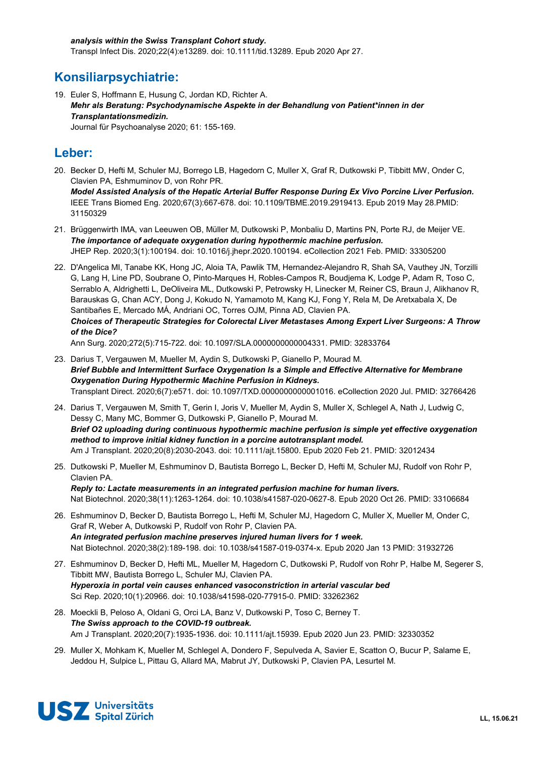# **Konsiliarpsychiatrie:**

19. Euler S, Hoffmann E, Husung C, Jordan KD, Richter A. *Mehr als Beratung: Psychodynamische Aspekte in der Behandlung von Patient\*innen in der Transplantationsmedizin.*  Journal für Psychoanalyse 2020; 61: 155-169.

## **Leber:**

- 20. Becker D, Hefti M, Schuler MJ, Borrego LB, Hagedorn C, Muller X, Graf R, Dutkowski P, Tibbitt MW, Onder C, Clavien PA, Eshmuminov D, von Rohr PR. *Model Assisted Analysis of the Hepatic Arterial Buffer Response During Ex Vivo Porcine Liver Perfusion.*  IEEE Trans Biomed Eng. 2020;67(3):667-678. doi: 10.1109/TBME.2019.2919413. Epub 2019 May 28.PMID: 31150329
- 21. Brüggenwirth IMA, van Leeuwen OB, Müller M, Dutkowski P, Monbaliu D, Martins PN, Porte RJ, de Meijer VE. *The importance of adequate oxygenation during hypothermic machine perfusion.* JHEP Rep. 2020;3(1):100194. doi: 10.1016/j.jhepr.2020.100194. eCollection 2021 Feb. PMID: 33305200
- 22. D'Angelica MI, Tanabe KK, Hong JC, Aloia TA, Pawlik TM, Hernandez-Alejandro R, Shah SA, Vauthey JN, Torzilli G, Lang H, Line PD, Soubrane O, Pinto-Marques H, Robles-Campos R, Boudjema K, Lodge P, Adam R, Toso C, Serrablo A, Aldrighetti L, DeOliveira ML, Dutkowski P, Petrowsky H, Linecker M, Reiner CS, Braun J, Alikhanov R, Barauskas G, Chan ACY, Dong J, Kokudo N, Yamamoto M, Kang KJ, Fong Y, Rela M, De Aretxabala X, De Santibañes E, Mercado MÁ, Andriani OC, Torres OJM, Pinna AD, Clavien PA. *Choices of Therapeutic Strategies for Colorectal Liver Metastases Among Expert Liver Surgeons: A Throw of the Dice?*  Ann Surg. 2020;272(5):715-722. doi: 10.1097/SLA.0000000000004331. PMID: 32833764
- 23. Darius T, Vergauwen M, Mueller M, Aydin S, Dutkowski P, Gianello P, Mourad M. *Brief Bubble and Intermittent Surface Oxygenation Is a Simple and Effective Alternative for Membrane Oxygenation During Hypothermic Machine Perfusion in Kidneys.*  Transplant Direct. 2020;6(7):e571. doi: 10.1097/TXD.0000000000001016. eCollection 2020 Jul. PMID: 32766426
- 24. Darius T, Vergauwen M, Smith T, Gerin I, Joris V, Mueller M, Aydin S, Muller X, Schlegel A, Nath J, Ludwig C, Dessy C, Many MC, Bommer G, Dutkowski P, Gianello P, Mourad M. *Brief O2 uploading during continuous hypothermic machine perfusion is simple yet effective oxygenation method to improve initial kidney function in a porcine autotransplant model.*  Am J Transplant. 2020;20(8):2030-2043. doi: 10.1111/ajt.15800. Epub 2020 Feb 21. PMID: 32012434
- 25. Dutkowski P, Mueller M, Eshmuminov D, Bautista Borrego L, Becker D, Hefti M, Schuler MJ, Rudolf von Rohr P, Clavien PA. *Reply to: Lactate measurements in an integrated perfusion machine for human livers.*  Nat Biotechnol. 2020;38(11):1263-1264. doi: 10.1038/s41587-020-0627-8. Epub 2020 Oct 26. PMID: 33106684
- 26. Eshmuminov D, Becker D, Bautista Borrego L, Hefti M, Schuler MJ, Hagedorn C, Muller X, Mueller M, Onder C, Graf R, Weber A, Dutkowski P, Rudolf von Rohr P, Clavien PA. *An integrated perfusion machine preserves injured human livers for 1 week.*  Nat Biotechnol. 2020;38(2):189-198. doi: 10.1038/s41587-019-0374-x. Epub 2020 Jan 13 PMID: 31932726
- 27. Eshmuminov D, Becker D, Hefti ML, Mueller M, Hagedorn C, Dutkowski P, Rudolf von Rohr P, Halbe M, Segerer S, Tibbitt MW, Bautista Borrego L, Schuler MJ, Clavien PA. *Hyperoxia in portal vein causes enhanced vasoconstriction in arterial vascular bed* Sci Rep. 2020;10(1):20966. doi: 10.1038/s41598-020-77915-0. PMID: 33262362
- 28. Moeckli B, Peloso A, Oldani G, Orci LA, Banz V, Dutkowski P, Toso C, Berney T. *The Swiss approach to the COVID-19 outbreak.*  Am J Transplant. 2020;20(7):1935-1936. doi: 10.1111/ajt.15939. Epub 2020 Jun 23. PMID: 32330352
- 29. Muller X, Mohkam K, Mueller M, Schlegel A, Dondero F, Sepulveda A, Savier E, Scatton O, Bucur P, Salame E, Jeddou H, Sulpice L, Pittau G, Allard MA, Mabrut JY, Dutkowski P, Clavien PA, Lesurtel M.

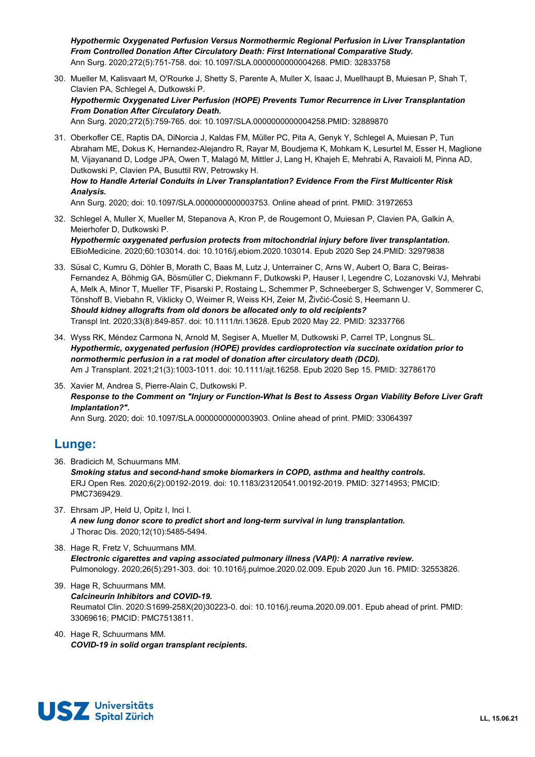*Hypothermic Oxygenated Perfusion Versus Normothermic Regional Perfusion in Liver Transplantation From Controlled Donation After Circulatory Death: First International Comparative Study.*  Ann Surg. 2020;272(5):751-758. doi: 10.1097/SLA.0000000000004268. PMID: 32833758

- 30. Mueller M, Kalisvaart M, O'Rourke J, Shetty S, Parente A, Muller X, Isaac J, Muellhaupt B, Muiesan P, Shah T, Clavien PA, Schlegel A, Dutkowski P. *Hypothermic Oxygenated Liver Perfusion (HOPE) Prevents Tumor Recurrence in Liver Transplantation From Donation After Circulatory Death.*  Ann Surg. 2020;272(5):759-765. doi: 10.1097/SLA.0000000000004258.PMID: 32889870
- 31. Oberkofler CE, Raptis DA, DiNorcia J, Kaldas FM, Müller PC, Pita A, Genyk Y, Schlegel A, Muiesan P, Tun Abraham ME, Dokus K, Hernandez-Alejandro R, Rayar M, Boudjema K, Mohkam K, Lesurtel M, Esser H, Maglione M, Vijayanand D, Lodge JPA, Owen T, Malagó M, Mittler J, Lang H, Khajeh E, Mehrabi A, Ravaioli M, Pinna AD, Dutkowski P, Clavien PA, Busuttil RW, Petrowsky H.

#### *How to Handle Arterial Conduits in Liver Transplantation? Evidence From the First Multicenter Risk Analysis.*

Ann Surg. 2020; doi: 10.1097/SLA.0000000000003753. Online ahead of print. PMID: 31972653

32. Schlegel A, Muller X, Mueller M, Stepanova A, Kron P, de Rougemont O, Muiesan P, Clavien PA, Galkin A, Meierhofer D, Dutkowski P. *Hypothermic oxygenated perfusion protects from mitochondrial injury before liver transplantation.* 

EBioMedicine. 2020;60:103014. doi: 10.1016/j.ebiom.2020.103014. Epub 2020 Sep 24.PMID: 32979838

- 33. Süsal C, Kumru G, Döhler B, Morath C, Baas M, Lutz J, Unterrainer C, Arns W, Aubert O, Bara C, Beiras-Fernandez A, Böhmig GA, Bösmüller C, Diekmann F, Dutkowski P, Hauser I, Legendre C, Lozanovski VJ, Mehrabi A, Melk A, Minor T, Mueller TF, Pisarski P, Rostaing L, Schemmer P, Schneeberger S, Schwenger V, Sommerer C, Tönshoff B, Viebahn R, Viklicky O, Weimer R, Weiss KH, Zeier M, Živčić-Ćosić S, Heemann U. *Should kidney allografts from old donors be allocated only to old recipients?*  Transpl Int. 2020;33(8):849-857. doi: 10.1111/tri.13628. Epub 2020 May 22. PMID: 32337766
- 34. Wyss RK, Méndez Carmona N, Arnold M, Segiser A, Mueller M, Dutkowski P, Carrel TP, Longnus SL. *Hypothermic, oxygenated perfusion (HOPE) provides cardioprotection via succinate oxidation prior to normothermic perfusion in a rat model of donation after circulatory death (DCD).*  Am J Transplant. 2021;21(3):1003-1011. doi: 10.1111/ajt.16258. Epub 2020 Sep 15. PMID: 32786170
- 35. Xavier M, Andrea S, Pierre-Alain C, Dutkowski P. *Response to the Comment on "Injury or Function-What Is Best to Assess Organ Viability Before Liver Graft Implantation?".*

Ann Surg. 2020; doi: 10.1097/SLA.0000000000003903. Online ahead of print. PMID: 33064397

# **Lunge:**

- 36. Bradicich M, Schuurmans MM. *Smoking status and second-hand smoke biomarkers in COPD, asthma and healthy controls.*  ERJ Open Res. 2020;6(2):00192-2019. doi: 10.1183/23120541.00192-2019. PMID: 32714953; PMCID: PMC7369429.
- 37. Ehrsam JP, Held U, Opitz I, Inci I. *A new lung donor score to predict short and long-term survival in lung transplantation.*  J Thorac Dis. 2020;12(10):5485-5494.
- 38. Hage R, Fretz V, Schuurmans MM. *Electronic cigarettes and vaping associated pulmonary illness (VAPI): A narrative review.*  Pulmonology. 2020;26(5):291-303. doi: 10.1016/j.pulmoe.2020.02.009. Epub 2020 Jun 16. PMID: 32553826.
- 39. Hage R, Schuurmans MM. *Calcineurin Inhibitors and COVID-19.*  Reumatol Clin. 2020:S1699-258X(20)30223-0. doi: 10.1016/j.reuma.2020.09.001. Epub ahead of print. PMID: 33069616; PMCID: PMC7513811.
- 40. Hage R, Schuurmans MM. *COVID-19 in solid organ transplant recipients.*

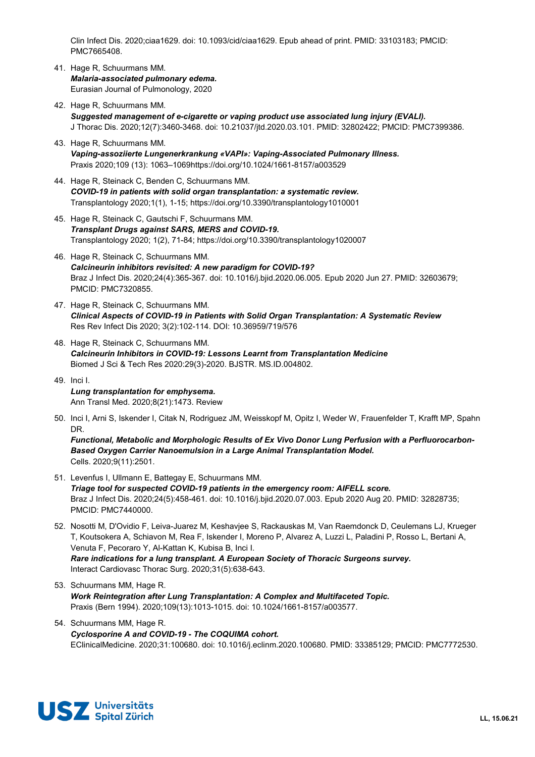Clin Infect Dis. 2020;ciaa1629. doi: 10.1093/cid/ciaa1629. Epub ahead of print. PMID: 33103183; PMCID: PMC7665408.

- 41. Hage R, Schuurmans MM. *Malaria-associated pulmonary edema.*  Eurasian Journal of Pulmonology, 2020
- 42. Hage R, Schuurmans MM. *Suggested management of e-cigarette or vaping product use associated lung injury (EVALI).*  J Thorac Dis. 2020;12(7):3460-3468. doi: 10.21037/jtd.2020.03.101. PMID: 32802422; PMCID: PMC7399386.
- 43. Hage R, Schuurmans MM. *Vaping-assoziierte Lungenerkrankung «VAPI»: Vaping-Associated Pulmonary Illness.*  Praxis 2020;109 (13): 1063–1069https://doi.org/10.1024/1661-8157/a003529
- 44. Hage R, Steinack C, Benden C, Schuurmans MM. *COVID-19 in patients with solid organ transplantation: a systematic review.*  Transplantology 2020;1(1), 1-15; https://doi.org/10.3390/transplantology1010001
- 45. Hage R, Steinack C, Gautschi F, Schuurmans MM. *Transplant Drugs against SARS, MERS and COVID-19.*  Transplantology 2020; 1(2), 71-84; https://doi.org/10.3390/transplantology1020007
- 46. Hage R, Steinack C, Schuurmans MM. *Calcineurin inhibitors revisited: A new paradigm for COVID-19?*  Braz J Infect Dis. 2020;24(4):365-367. doi: 10.1016/j.bjid.2020.06.005. Epub 2020 Jun 27. PMID: 32603679; PMCID: PMC7320855.
- 47. Hage R, Steinack C, Schuurmans MM. *Clinical Aspects of COVID-19 in Patients with Solid Organ Transplantation: A Systematic Review*  Res Rev Infect Dis 2020; 3(2):102-114. DOI: 10.36959/719/576
- 48. Hage R, Steinack C, Schuurmans MM. *Calcineurin Inhibitors in COVID-19: Lessons Learnt from Transplantation Medicine* Biomed J Sci & Tech Res 2020:29(3)-2020. BJSTR. MS.ID.004802.
- 49. Inci I. *Lung transplantation for emphysema.*  Ann Transl Med. 2020;8(21):1473. Review
- 50. Inci I, Arni S, Iskender I, Citak N, Rodriguez JM, Weisskopf M, Opitz I, Weder W, Frauenfelder T, Krafft MP, Spahn DR.

*Functional, Metabolic and Morphologic Results of Ex Vivo Donor Lung Perfusion with a Perfluorocarbon-Based Oxygen Carrier Nanoemulsion in a Large Animal Transplantation Model.*  Cells. 2020;9(11):2501.

- 51. Levenfus I, Ullmann E, Battegay E, Schuurmans MM. *Triage tool for suspected COVID-19 patients in the emergency room: AIFELL score.*  Braz J Infect Dis. 2020;24(5):458-461. doi: 10.1016/j.bjid.2020.07.003. Epub 2020 Aug 20. PMID: 32828735; PMCID: PMC7440000.
- 52. Nosotti M, D'Ovidio F, Leiva-Juarez M, Keshavjee S, Rackauskas M, Van Raemdonck D, Ceulemans LJ, Krueger T, Koutsokera A, Schiavon M, Rea F, Iskender I, Moreno P, Alvarez A, Luzzi L, Paladini P, Rosso L, Bertani A, Venuta F, Pecoraro Y, Al-Kattan K, Kubisa B, Inci I. *Rare indications for a lung transplant. A European Society of Thoracic Surgeons survey.*  Interact Cardiovasc Thorac Surg. 2020;31(5):638-643.
- 53. Schuurmans MM, Hage R. *Work Reintegration after Lung Transplantation: A Complex and Multifaceted Topic.*  Praxis (Bern 1994). 2020;109(13):1013-1015. doi: 10.1024/1661-8157/a003577.
- 54. Schuurmans MM, Hage R. *Cyclosporine A and COVID-19 - The COQUIMA cohort.*  EClinicalMedicine. 2020;31:100680. doi: 10.1016/j.eclinm.2020.100680. PMID: 33385129; PMCID: PMC7772530.

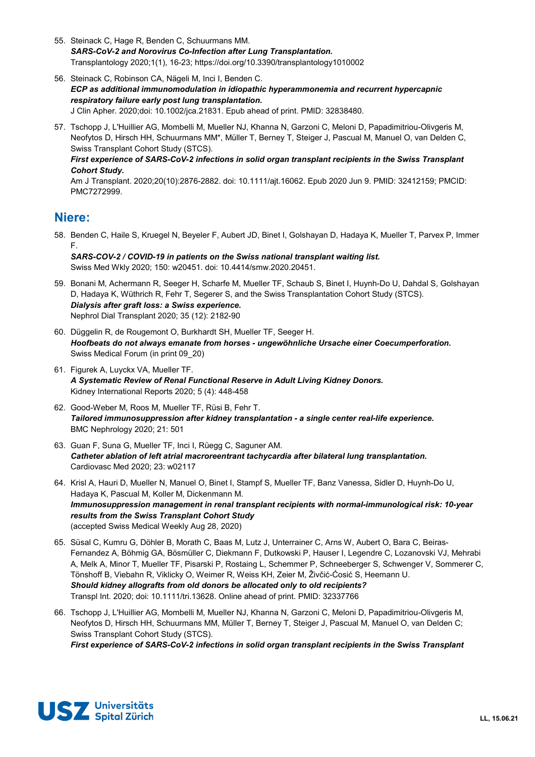- 55. Steinack C, Hage R, Benden C, Schuurmans MM. *SARS-CoV-2 and Norovirus Co-Infection after Lung Transplantation.*  Transplantology 2020;1(1), 16-23; https://doi.org/10.3390/transplantology1010002
- 56. Steinack C, Robinson CA, Nägeli M, Inci I, Benden C. *ECP as additional immunomodulation in idiopathic hyperammonemia and recurrent hypercapnic respiratory failure early post lung transplantation.*  J Clin Apher. 2020;doi: 10.1002/jca.21831. Epub ahead of print. PMID: 32838480.
- 57. Tschopp J, L'Huillier AG, Mombelli M, Mueller NJ, Khanna N, Garzoni C, Meloni D, Papadimitriou-Olivgeris M, Neofytos D, Hirsch HH, Schuurmans MM\*, Müller T, Berney T, Steiger J, Pascual M, Manuel O, van Delden C, Swiss Transplant Cohort Study (STCS).

#### *First experience of SARS-CoV-2 infections in solid organ transplant recipients in the Swiss Transplant Cohort Study.*

Am J Transplant. 2020;20(10):2876-2882. doi: 10.1111/ajt.16062. Epub 2020 Jun 9. PMID: 32412159; PMCID: PMC7272999.

## **Niere:**

58. Benden C, Haile S, Kruegel N, Beyeler F, Aubert JD, Binet I, Golshayan D, Hadaya K, Mueller T, Parvex P, Immer F.

*SARS-COV-2 / COVID-19 in patients on the Swiss national transplant waiting list.*  Swiss Med Wkly 2020; 150: w20451. doi: 10.4414/smw.2020.20451.

- 59. Bonani M, Achermann R, Seeger H, Scharfe M, Mueller TF, Schaub S, Binet I, Huynh-Do U, Dahdal S, Golshayan D, Hadaya K, Wüthrich R, Fehr T, Segerer S, and the Swiss Transplantation Cohort Study (STCS). *Dialysis after graft loss: a Swiss experience.*  Nephrol Dial Transplant 2020; 35 (12): 2182-90
- 60. Düggelin R, de Rougemont O, Burkhardt SH, Mueller TF, Seeger H. *Hoofbeats do not always emanate from horses - ungewöhnliche Ursache einer Coecumperforation.*  Swiss Medical Forum (in print 09\_20)
- 61. Figurek A, Luyckx VA, Mueller TF. *A Systematic Review of Renal Functional Reserve in Adult Living Kidney Donors.*  Kidney International Reports 2020; 5 (4): 448-458
- 62. Good-Weber M, Roos M, Mueller TF, Rüsi B, Fehr T. *Tailored immunosuppression after kidney transplantation - a single center real-life experience.*  BMC Nephrology 2020; 21: 501
- 63. Guan F, Suna G, Mueller TF, Inci I, Rüegg C, Saguner AM. *Catheter ablation of left atrial macroreentrant tachycardia after bilateral lung transplantation.*  Cardiovasc Med 2020; 23: w02117
- 64. Krisl A, Hauri D, Mueller N, Manuel O, Binet I, Stampf S, Mueller TF, Banz Vanessa, Sidler D, Huynh-Do U, Hadaya K, Pascual M, Koller M, Dickenmann M. *Immunosuppression management in renal transplant recipients with normal-immunological risk: 10-year results from the Swiss Transplant Cohort Study*  (accepted Swiss Medical Weekly Aug 28, 2020)
- 65. Süsal C, Kumru G, Döhler B, Morath C, Baas M, Lutz J, Unterrainer C, Arns W, Aubert O, Bara C, Beiras-Fernandez A, Böhmig GA, Bösmüller C, Diekmann F, Dutkowski P, Hauser I, Legendre C, Lozanovski VJ, Mehrabi A, Melk A, Minor T, Mueller TF, Pisarski P, Rostaing L, Schemmer P, Schneeberger S, Schwenger V, Sommerer C, Tönshoff B, Viebahn R, Viklicky O, Weimer R, Weiss KH, Zeier M, Živčić-Ćosić S, Heemann U. *Should kidney allografts from old donors be allocated only to old recipients?*  Transpl Int. 2020; doi: 10.1111/tri.13628. Online ahead of print. PMID: 32337766
- 66. Tschopp J, L'Huillier AG, Mombelli M, Mueller NJ, Khanna N, Garzoni C, Meloni D, Papadimitriou-Olivgeris M, Neofytos D, Hirsch HH, Schuurmans MM, Müller T, Berney T, Steiger J, Pascual M, Manuel O, van Delden C; Swiss Transplant Cohort Study (STCS). *First experience of SARS-CoV-2 infections in solid organ transplant recipients in the Swiss Transplant*

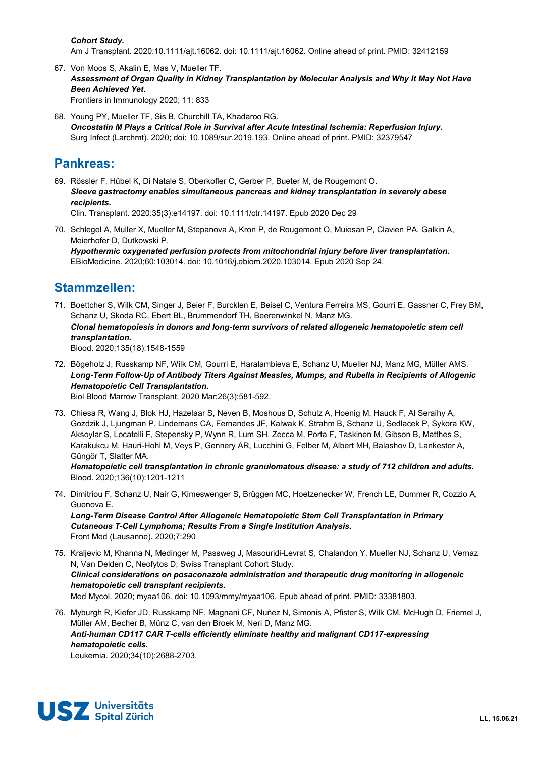#### *Cohort Study.*

Am J Transplant. 2020;10.1111/ajt.16062. doi: 10.1111/ajt.16062. Online ahead of print. PMID: 32412159

- 67. Von Moos S, Akalin E, Mas V, Mueller TF. *Assessment of Organ Quality in Kidney Transplantation by Molecular Analysis and Why It May Not Have Been Achieved Yet.*  Frontiers in Immunology 2020; 11: 833
- 68. Young PY, Mueller TF, Sis B, Churchill TA, Khadaroo RG. *Oncostatin M Plays a Critical Role in Survival after Acute Intestinal Ischemia: Reperfusion Injury.*  Surg Infect (Larchmt). 2020; doi: 10.1089/sur.2019.193. Online ahead of print. PMID: 32379547

## **Pankreas:**

69. Rössler F, Hübel K, Di Natale S, Oberkofler C, Gerber P, Bueter M, de Rougemont O. *Sleeve gastrectomy enables simultaneous pancreas and kidney transplantation in severely obese recipients.* 

Clin. Transplant. 2020;35(3):e14197. doi: 10.1111/ctr.14197. Epub 2020 Dec 29

70. Schlegel A, Muller X, Mueller M, Stepanova A, Kron P, de Rougemont O, Muiesan P, Clavien PA, Galkin A, Meierhofer D, Dutkowski P. *Hypothermic oxygenated perfusion protects from mitochondrial injury before liver transplantation.*  EBioMedicine. 2020;60:103014. doi: 10.1016/j.ebiom.2020.103014. Epub 2020 Sep 24.

## **Stammzellen:**

71. Boettcher S, Wilk CM, Singer J, Beier F, Burcklen E, Beisel C, Ventura Ferreira MS, Gourri E, Gassner C, Frey BM, Schanz U, Skoda RC, Ebert BL, Brummendorf TH, Beerenwinkel N, Manz MG. *Clonal hematopoiesis in donors and long-term survivors of related allogeneic hematopoietic stem cell transplantation.*  Blood. 2020;135(18):1548-1559

72. Bögeholz J, Russkamp NF, Wilk CM, Gourri E, Haralambieva E, Schanz U, Mueller NJ, Manz MG, Müller AMS. *Long-Term Follow-Up of Antibody Titers Against Measles, Mumps, and Rubella in Recipients of Allogenic Hematopoietic Cell Transplantation.* 

Biol Blood Marrow Transplant. 2020 Mar;26(3):581-592.

73. Chiesa R, Wang J, Blok HJ, Hazelaar S, Neven B, Moshous D, Schulz A, Hoenig M, Hauck F, Al Seraihy A, Gozdzik J, Ljungman P, Lindemans CA, Fernandes JF, Kalwak K, Strahm B, Schanz U, Sedlacek P, Sykora KW, Aksoylar S, Locatelli F, Stepensky P, Wynn R, Lum SH, Zecca M, Porta F, Taskinen M, Gibson B, Matthes S, Karakukcu M, Hauri-Hohl M, Veys P, Gennery AR, Lucchini G, Felber M, Albert MH, Balashov D, Lankester A, Güngör T, Slatter MA.

*Hematopoietic cell transplantation in chronic granulomatous disease: a study of 712 children and adults.*  Blood. 2020;136(10):1201-1211

74. Dimitriou F, Schanz U, Nair G, Kimeswenger S, Brüggen MC, Hoetzenecker W, French LE, Dummer R, Cozzio A, Guenova E. *Long-Term Disease Control After Allogeneic Hematopoietic Stem Cell Transplantation in Primary* 

*Cutaneous T-Cell Lymphoma; Results From a Single Institution Analysis.*  Front Med (Lausanne). 2020;7:290

- 75. Kraljevic M, Khanna N, Medinger M, Passweg J, Masouridi-Levrat S, Chalandon Y, Mueller NJ, Schanz U, Vernaz N, Van Delden C, Neofytos D; Swiss Transplant Cohort Study. *Clinical considerations on posaconazole administration and therapeutic drug monitoring in allogeneic hematopoietic cell transplant recipients.*  Med Mycol. 2020; myaa106. doi: 10.1093/mmy/myaa106. Epub ahead of print. PMID: 33381803.
- 76. Myburgh R, Kiefer JD, Russkamp NF, Magnani CF, Nuñez N, Simonis A, Pfister S, Wilk CM, McHugh D, Friemel J, Müller AM, Becher B, Münz C, van den Broek M, Neri D, Manz MG. *Anti-human CD117 CAR T-cells efficiently eliminate healthy and malignant CD117-expressing hematopoietic cells.* Leukemia. 2020;34(10):2688-2703.